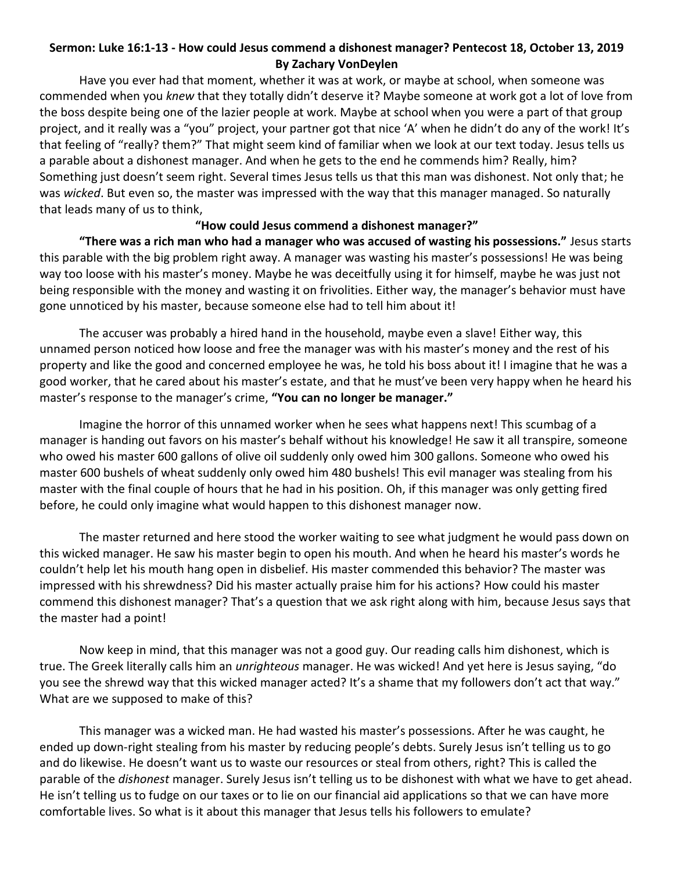## **Sermon: Luke 16:1-13 - How could Jesus commend a dishonest manager? Pentecost 18, October 13, 2019 By Zachary VonDeylen**

Have you ever had that moment, whether it was at work, or maybe at school, when someone was commended when you *knew* that they totally didn't deserve it? Maybe someone at work got a lot of love from the boss despite being one of the lazier people at work. Maybe at school when you were a part of that group project, and it really was a "you" project, your partner got that nice 'A' when he didn't do any of the work! It's that feeling of "really? them?" That might seem kind of familiar when we look at our text today. Jesus tells us a parable about a dishonest manager. And when he gets to the end he commends him? Really, him? Something just doesn't seem right. Several times Jesus tells us that this man was dishonest. Not only that; he was *wicked*. But even so, the master was impressed with the way that this manager managed. So naturally that leads many of us to think,

## **"How could Jesus commend a dishonest manager?"**

**"There was a rich man who had a manager who was accused of wasting his possessions."** Jesus starts this parable with the big problem right away. A manager was wasting his master's possessions! He was being way too loose with his master's money. Maybe he was deceitfully using it for himself, maybe he was just not being responsible with the money and wasting it on frivolities. Either way, the manager's behavior must have gone unnoticed by his master, because someone else had to tell him about it!

The accuser was probably a hired hand in the household, maybe even a slave! Either way, this unnamed person noticed how loose and free the manager was with his master's money and the rest of his property and like the good and concerned employee he was, he told his boss about it! I imagine that he was a good worker, that he cared about his master's estate, and that he must've been very happy when he heard his master's response to the manager's crime, **"You can no longer be manager."**

Imagine the horror of this unnamed worker when he sees what happens next! This scumbag of a manager is handing out favors on his master's behalf without his knowledge! He saw it all transpire, someone who owed his master 600 gallons of olive oil suddenly only owed him 300 gallons. Someone who owed his master 600 bushels of wheat suddenly only owed him 480 bushels! This evil manager was stealing from his master with the final couple of hours that he had in his position. Oh, if this manager was only getting fired before, he could only imagine what would happen to this dishonest manager now.

The master returned and here stood the worker waiting to see what judgment he would pass down on this wicked manager. He saw his master begin to open his mouth. And when he heard his master's words he couldn't help let his mouth hang open in disbelief. His master commended this behavior? The master was impressed with his shrewdness? Did his master actually praise him for his actions? How could his master commend this dishonest manager? That's a question that we ask right along with him, because Jesus says that the master had a point!

Now keep in mind, that this manager was not a good guy. Our reading calls him dishonest, which is true. The Greek literally calls him an *unrighteous* manager. He was wicked! And yet here is Jesus saying, "do you see the shrewd way that this wicked manager acted? It's a shame that my followers don't act that way." What are we supposed to make of this?

This manager was a wicked man. He had wasted his master's possessions. After he was caught, he ended up down-right stealing from his master by reducing people's debts. Surely Jesus isn't telling us to go and do likewise. He doesn't want us to waste our resources or steal from others, right? This is called the parable of the *dishonest* manager. Surely Jesus isn't telling us to be dishonest with what we have to get ahead. He isn't telling us to fudge on our taxes or to lie on our financial aid applications so that we can have more comfortable lives. So what is it about this manager that Jesus tells his followers to emulate?